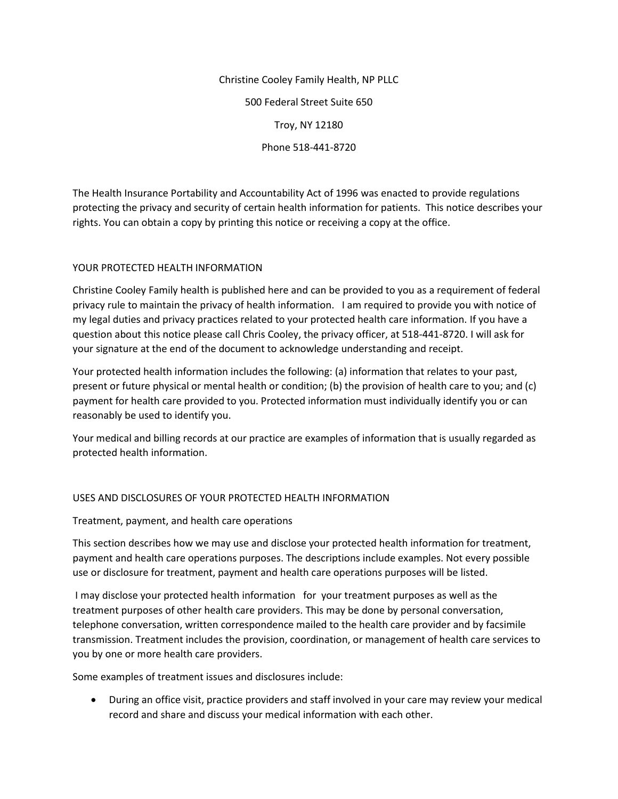Christine Cooley Family Health, NP PLLC 500 Federal Street Suite 650 Troy, NY 12180 Phone 518-441-8720

The Health Insurance Portability and Accountability Act of 1996 was enacted to provide regulations protecting the privacy and security of certain health information for patients. This notice describes your rights. You can obtain a copy by printing this notice or receiving a copy at the office.

# YOUR PROTECTED HEALTH INFORMATION

Christine Cooley Family health is published here and can be provided to you as a requirement of federal privacy rule to maintain the privacy of health information. I am required to provide you with notice of my legal duties and privacy practices related to your protected health care information. If you have a question about this notice please call Chris Cooley, the privacy officer, at 518-441-8720. I will ask for your signature at the end of the document to acknowledge understanding and receipt.

Your protected health information includes the following: (a) information that relates to your past, present or future physical or mental health or condition; (b) the provision of health care to you; and (c) payment for health care provided to you. Protected information must individually identify you or can reasonably be used to identify you.

Your medical and billing records at our practice are examples of information that is usually regarded as protected health information.

# USES AND DISCLOSURES OF YOUR PROTECTED HEALTH INFORMATION

Treatment, payment, and health care operations

This section describes how we may use and disclose your protected health information for treatment, payment and health care operations purposes. The descriptions include examples. Not every possible use or disclosure for treatment, payment and health care operations purposes will be listed.

I may disclose your protected health information for your treatment purposes as well as the treatment purposes of other health care providers. This may be done by personal conversation, telephone conversation, written correspondence mailed to the health care provider and by facsimile transmission. Treatment includes the provision, coordination, or management of health care services to you by one or more health care providers.

Some examples of treatment issues and disclosures include:

• During an office visit, practice providers and staff involved in your care may review your medical record and share and discuss your medical information with each other.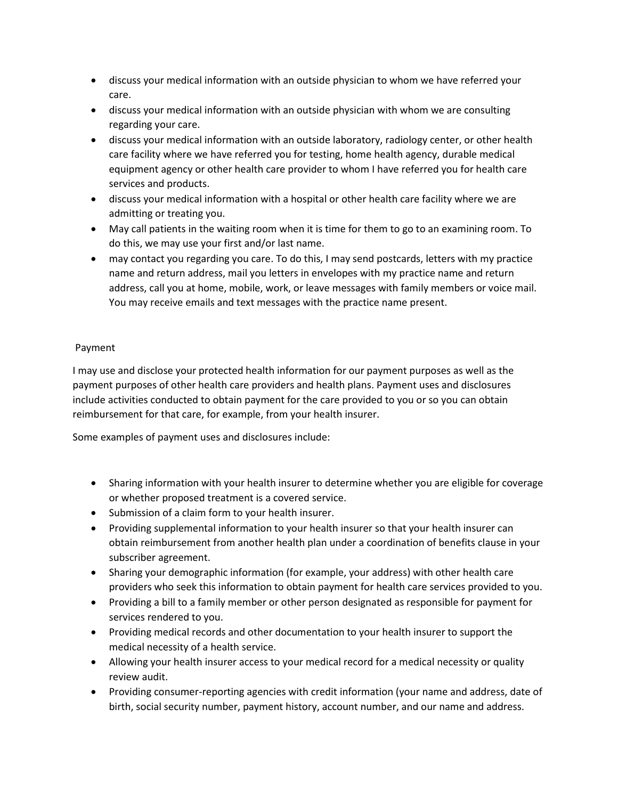- discuss your medical information with an outside physician to whom we have referred your care.
- discuss your medical information with an outside physician with whom we are consulting regarding your care.
- discuss your medical information with an outside laboratory, radiology center, or other health care facility where we have referred you for testing, home health agency, durable medical equipment agency or other health care provider to whom I have referred you for health care services and products.
- discuss your medical information with a hospital or other health care facility where we are admitting or treating you.
- May call patients in the waiting room when it is time for them to go to an examining room. To do this, we may use your first and/or last name.
- may contact you regarding you care. To do this, I may send postcards, letters with my practice name and return address, mail you letters in envelopes with my practice name and return address, call you at home, mobile, work, or leave messages with family members or voice mail. You may receive emails and text messages with the practice name present.

# Payment

I may use and disclose your protected health information for our payment purposes as well as the payment purposes of other health care providers and health plans. Payment uses and disclosures include activities conducted to obtain payment for the care provided to you or so you can obtain reimbursement for that care, for example, from your health insurer.

Some examples of payment uses and disclosures include:

- Sharing information with your health insurer to determine whether you are eligible for coverage or whether proposed treatment is a covered service.
- Submission of a claim form to your health insurer.
- Providing supplemental information to your health insurer so that your health insurer can obtain reimbursement from another health plan under a coordination of benefits clause in your subscriber agreement.
- Sharing your demographic information (for example, your address) with other health care providers who seek this information to obtain payment for health care services provided to you.
- Providing a bill to a family member or other person designated as responsible for payment for services rendered to you.
- Providing medical records and other documentation to your health insurer to support the medical necessity of a health service.
- Allowing your health insurer access to your medical record for a medical necessity or quality review audit.
- Providing consumer-reporting agencies with credit information (your name and address, date of birth, social security number, payment history, account number, and our name and address.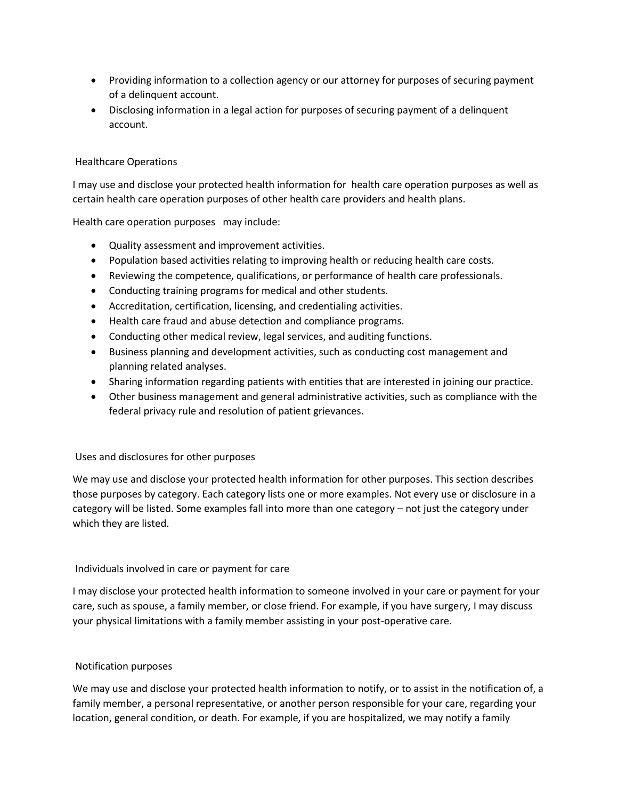- Providing information to a collection agency or our attorney for purposes of securing payment of a delinquent account.
- Disclosing information in a legal action for purposes of securing payment of a delinquent account.

### Healthcare Operations

I may use and disclose your protected health information for health care operation purposes as well as certain health care operation purposes of other health care providers and health plans.

Health care operation purposes may include:

- Quality assessment and improvement activities.
- Population based activities relating to improving health or reducing health care costs.
- Reviewing the competence, qualifications, or performance of health care professionals.
- Conducting training programs for medical and other students.
- Accreditation, certification, licensing, and credentialing activities.
- Health care fraud and abuse detection and compliance programs.
- Conducting other medical review, legal services, and auditing functions.
- Business planning and development activities, such as conducting cost management and planning related analyses.
- Sharing information regarding patients with entities that are interested in joining our practice.
- Other business management and general administrative activities, such as compliance with the federal privacy rule and resolution of patient grievances.

### Uses and disclosures for other purposes

We may use and disclose your protected health information for other purposes. This section describes those purposes by category. Each category lists one or more examples. Not every use or disclosure in a category will be listed. Some examples fall into more than one category – not just the category under which they are listed.

### Individuals involved in care or payment for care

I may disclose your protected health information to someone involved in your care or payment for your care, such as spouse, a family member, or close friend. For example, if you have surgery, I may discuss your physical limitations with a family member assisting in your post-operative care.

### Notification purposes

We may use and disclose your protected health information to notify, or to assist in the notification of, a family member, a personal representative, or another person responsible for your care, regarding your location, general condition, or death. For example, if you are hospitalized, we may notify a family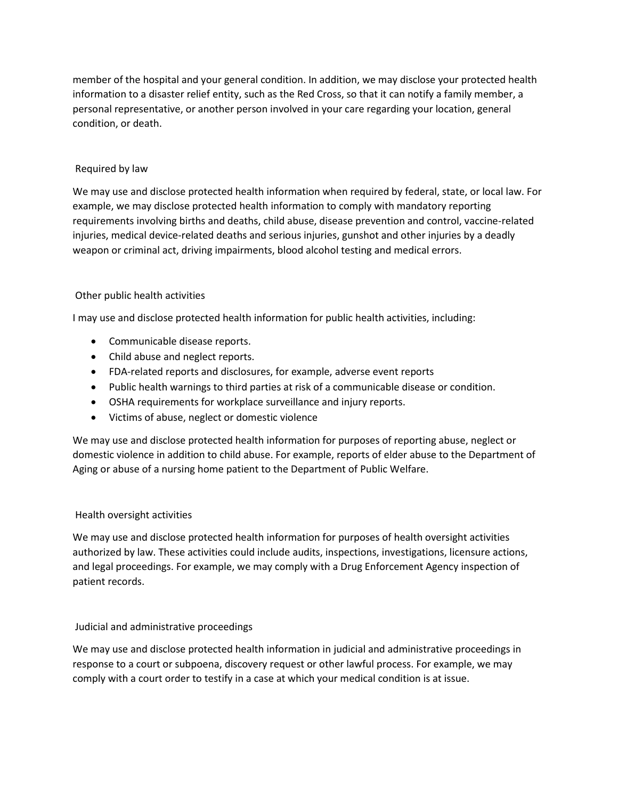member of the hospital and your general condition. In addition, we may disclose your protected health information to a disaster relief entity, such as the Red Cross, so that it can notify a family member, a personal representative, or another person involved in your care regarding your location, general condition, or death.

# Required by law

We may use and disclose protected health information when required by federal, state, or local law. For example, we may disclose protected health information to comply with mandatory reporting requirements involving births and deaths, child abuse, disease prevention and control, vaccine-related injuries, medical device-related deaths and serious injuries, gunshot and other injuries by a deadly weapon or criminal act, driving impairments, blood alcohol testing and medical errors.

### Other public health activities

I may use and disclose protected health information for public health activities, including:

- Communicable disease reports.
- Child abuse and neglect reports.
- FDA-related reports and disclosures, for example, adverse event reports
- Public health warnings to third parties at risk of a communicable disease or condition.
- OSHA requirements for workplace surveillance and injury reports.
- Victims of abuse, neglect or domestic violence

We may use and disclose protected health information for purposes of reporting abuse, neglect or domestic violence in addition to child abuse. For example, reports of elder abuse to the Department of Aging or abuse of a nursing home patient to the Department of Public Welfare.

### Health oversight activities

We may use and disclose protected health information for purposes of health oversight activities authorized by law. These activities could include audits, inspections, investigations, licensure actions, and legal proceedings. For example, we may comply with a Drug Enforcement Agency inspection of patient records.

# Judicial and administrative proceedings

We may use and disclose protected health information in judicial and administrative proceedings in response to a court or subpoena, discovery request or other lawful process. For example, we may comply with a court order to testify in a case at which your medical condition is at issue.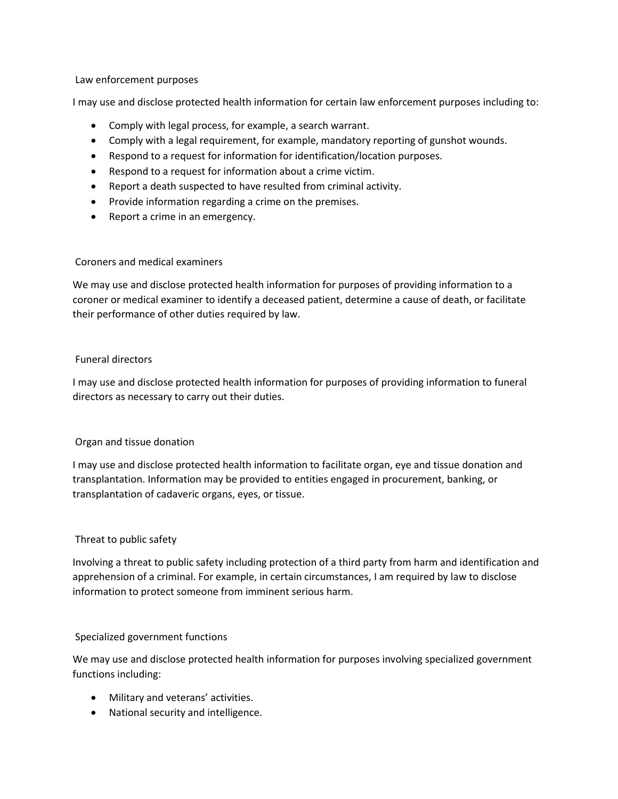### Law enforcement purposes

I may use and disclose protected health information for certain law enforcement purposes including to:

- Comply with legal process, for example, a search warrant.
- Comply with a legal requirement, for example, mandatory reporting of gunshot wounds.
- Respond to a request for information for identification/location purposes.
- Respond to a request for information about a crime victim.
- Report a death suspected to have resulted from criminal activity.
- Provide information regarding a crime on the premises.
- Report a crime in an emergency.

### Coroners and medical examiners

We may use and disclose protected health information for purposes of providing information to a coroner or medical examiner to identify a deceased patient, determine a cause of death, or facilitate their performance of other duties required by law.

# Funeral directors

I may use and disclose protected health information for purposes of providing information to funeral directors as necessary to carry out their duties.

# Organ and tissue donation

I may use and disclose protected health information to facilitate organ, eye and tissue donation and transplantation. Information may be provided to entities engaged in procurement, banking, or transplantation of cadaveric organs, eyes, or tissue.

### Threat to public safety

Involving a threat to public safety including protection of a third party from harm and identification and apprehension of a criminal. For example, in certain circumstances, I am required by law to disclose information to protect someone from imminent serious harm.

### Specialized government functions

We may use and disclose protected health information for purposes involving specialized government functions including:

- Military and veterans' activities.
- National security and intelligence.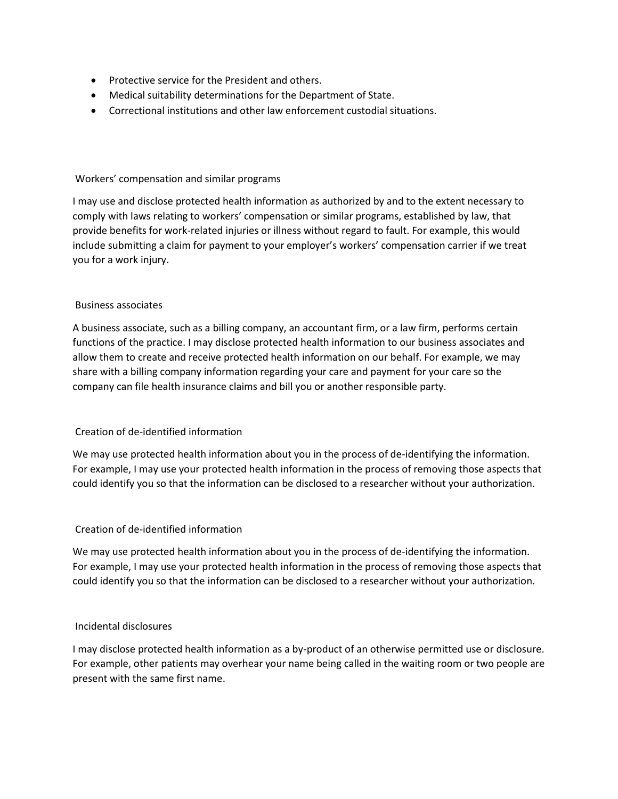- Protective service for the President and others.
- Medical suitability determinations for the Department of State.
- Correctional institutions and other law enforcement custodial situations.

## Workers' compensation and similar programs

I may use and disclose protected health information as authorized by and to the extent necessary to comply with laws relating to workers' compensation or similar programs, established by law, that provide benefits for work-related injuries or illness without regard to fault. For example, this would include submitting a claim for payment to your employer's workers' compensation carrier if we treat you for a work injury.

### Business associates

A business associate, such as a billing company, an accountant firm, or a law firm, performs certain functions of the practice. I may disclose protected health information to our business associates and allow them to create and receive protected health information on our behalf. For example, we may share with a billing company information regarding your care and payment for your care so the company can file health insurance claims and bill you or another responsible party.

### Creation of de-identified information

We may use protected health information about you in the process of de-identifying the information. For example, I may use your protected health information in the process of removing those aspects that could identify you so that the information can be disclosed to a researcher without your authorization.

### Creation of de-identified information

We may use protected health information about you in the process of de-identifying the information. For example, I may use your protected health information in the process of removing those aspects that could identify you so that the information can be disclosed to a researcher without your authorization.

### Incidental disclosures

I may disclose protected health information as a by-product of an otherwise permitted use or disclosure. For example, other patients may overhear your name being called in the waiting room or two people are present with the same first name.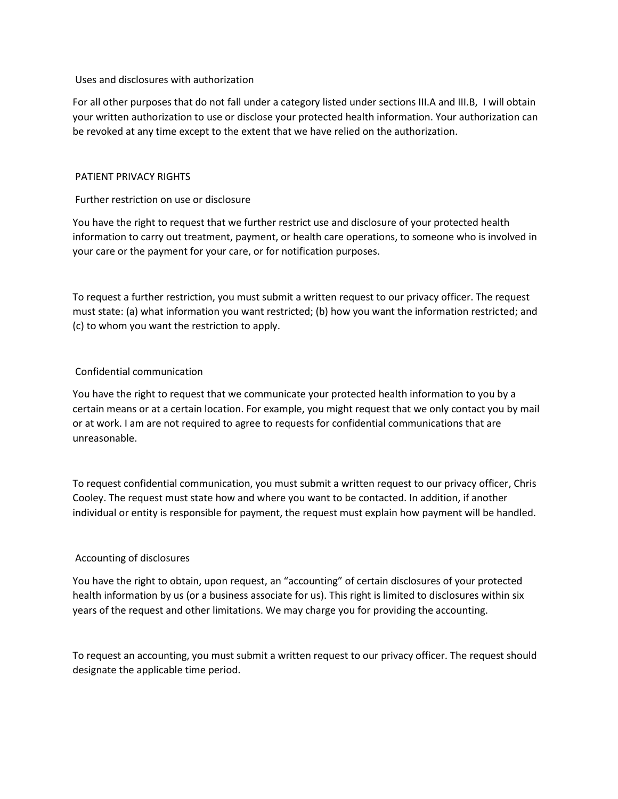#### Uses and disclosures with authorization

For all other purposes that do not fall under a category listed under sections III.A and III.B, I will obtain your written authorization to use or disclose your protected health information. Your authorization can be revoked at any time except to the extent that we have relied on the authorization.

### PATIENT PRIVACY RIGHTS

# Further restriction on use or disclosure

You have the right to request that we further restrict use and disclosure of your protected health information to carry out treatment, payment, or health care operations, to someone who is involved in your care or the payment for your care, or for notification purposes.

To request a further restriction, you must submit a written request to our privacy officer. The request must state: (a) what information you want restricted; (b) how you want the information restricted; and (c) to whom you want the restriction to apply.

# Confidential communication

You have the right to request that we communicate your protected health information to you by a certain means or at a certain location. For example, you might request that we only contact you by mail or at work. I am are not required to agree to requests for confidential communications that are unreasonable.

To request confidential communication, you must submit a written request to our privacy officer, Chris Cooley. The request must state how and where you want to be contacted. In addition, if another individual or entity is responsible for payment, the request must explain how payment will be handled.

# Accounting of disclosures

You have the right to obtain, upon request, an "accounting" of certain disclosures of your protected health information by us (or a business associate for us). This right is limited to disclosures within six years of the request and other limitations. We may charge you for providing the accounting.

To request an accounting, you must submit a written request to our privacy officer. The request should designate the applicable time period.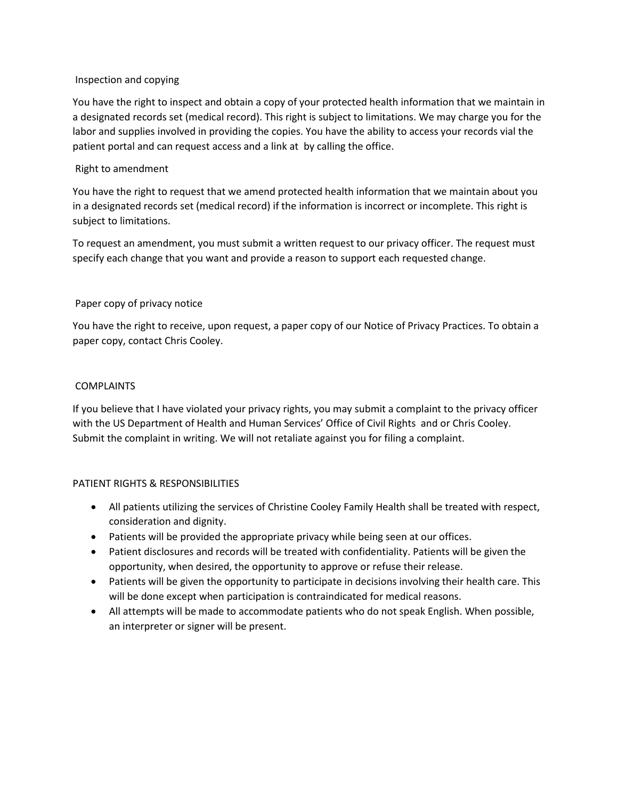### Inspection and copying

You have the right to inspect and obtain a copy of your protected health information that we maintain in a designated records set (medical record). This right is subject to limitations. We may charge you for the labor and supplies involved in providing the copies. You have the ability to access your records vial the patient portal and can request access and a link at by calling the office.

### Right to amendment

You have the right to request that we amend protected health information that we maintain about you in a designated records set (medical record) if the information is incorrect or incomplete. This right is subject to limitations.

To request an amendment, you must submit a written request to our privacy officer. The request must specify each change that you want and provide a reason to support each requested change.

#### Paper copy of privacy notice

You have the right to receive, upon request, a paper copy of our Notice of Privacy Practices. To obtain a paper copy, contact Chris Cooley.

#### COMPLAINTS

If you believe that I have violated your privacy rights, you may submit a complaint to the privacy officer with the US Department of Health and Human Services' Office of Civil Rights and or Chris Cooley. Submit the complaint in writing. We will not retaliate against you for filing a complaint.

### PATIENT RIGHTS & RESPONSIBILITIES

- All patients utilizing the services of Christine Cooley Family Health shall be treated with respect, consideration and dignity.
- Patients will be provided the appropriate privacy while being seen at our offices.
- Patient disclosures and records will be treated with confidentiality. Patients will be given the opportunity, when desired, the opportunity to approve or refuse their release.
- Patients will be given the opportunity to participate in decisions involving their health care. This will be done except when participation is contraindicated for medical reasons.
- All attempts will be made to accommodate patients who do not speak English. When possible, an interpreter or signer will be present.